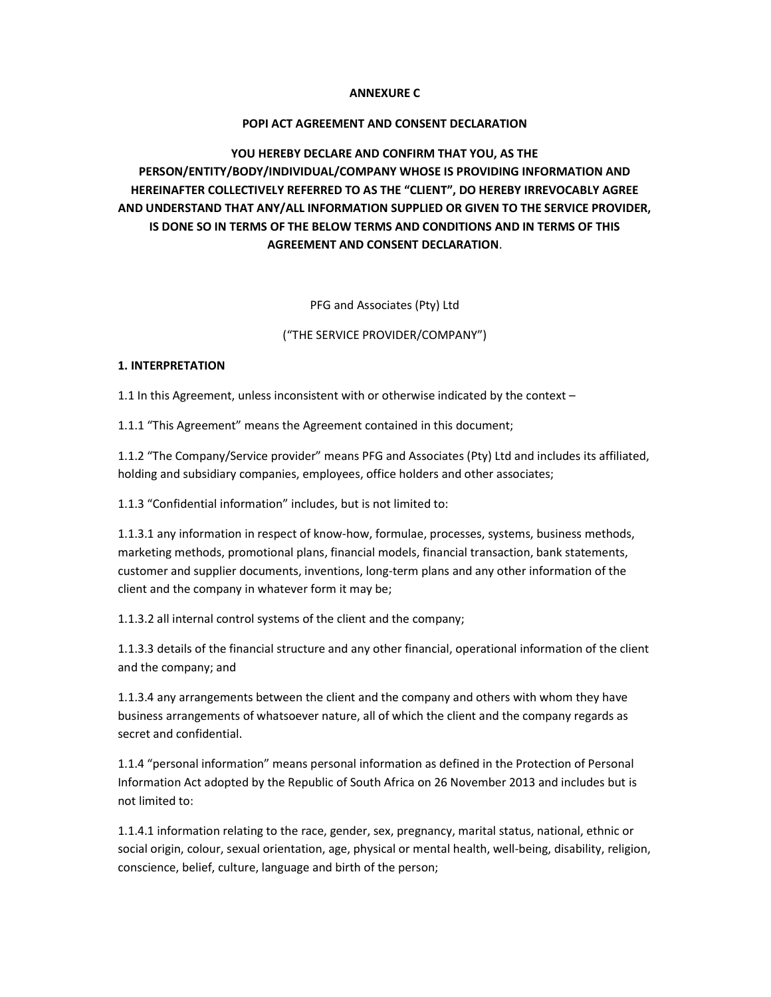## ANNEXURE C

## POPI ACT AGREEMENT AND CONSENT DECLARATION

# YOU HEREBY DECLARE AND CONFIRM THAT YOU, AS THE PERSON/ENTITY/BODY/INDIVIDUAL/COMPANY WHOSE IS PROVIDING INFORMATION AND HEREINAFTER COLLECTIVELY REFERRED TO AS THE "CLIENT", DO HEREBY IRREVOCABLY AGREE AND UNDERSTAND THAT ANY/ALL INFORMATION SUPPLIED OR GIVEN TO THE SERVICE PROVIDER, IS DONE SO IN TERMS OF THE BELOW TERMS AND CONDITIONS AND IN TERMS OF THIS AGREEMENT AND CONSENT DECLARATION.

PFG and Associates (Pty) Ltd

("THE SERVICE PROVIDER/COMPANY")

#### 1. INTERPRETATION

1.1 In this Agreement, unless inconsistent with or otherwise indicated by the context –

1.1.1 "This Agreement" means the Agreement contained in this document;

1.1.2 "The Company/Service provider" means PFG and Associates (Pty) Ltd and includes its affiliated, holding and subsidiary companies, employees, office holders and other associates;

1.1.3 "Confidential information" includes, but is not limited to:

1.1.3.1 any information in respect of know-how, formulae, processes, systems, business methods, marketing methods, promotional plans, financial models, financial transaction, bank statements, customer and supplier documents, inventions, long-term plans and any other information of the client and the company in whatever form it may be;

1.1.3.2 all internal control systems of the client and the company;

1.1.3.3 details of the financial structure and any other financial, operational information of the client and the company; and

1.1.3.4 any arrangements between the client and the company and others with whom they have business arrangements of whatsoever nature, all of which the client and the company regards as secret and confidential.

1.1.4 "personal information" means personal information as defined in the Protection of Personal Information Act adopted by the Republic of South Africa on 26 November 2013 and includes but is not limited to:

1.1.4.1 information relating to the race, gender, sex, pregnancy, marital status, national, ethnic or social origin, colour, sexual orientation, age, physical or mental health, well-being, disability, religion, conscience, belief, culture, language and birth of the person;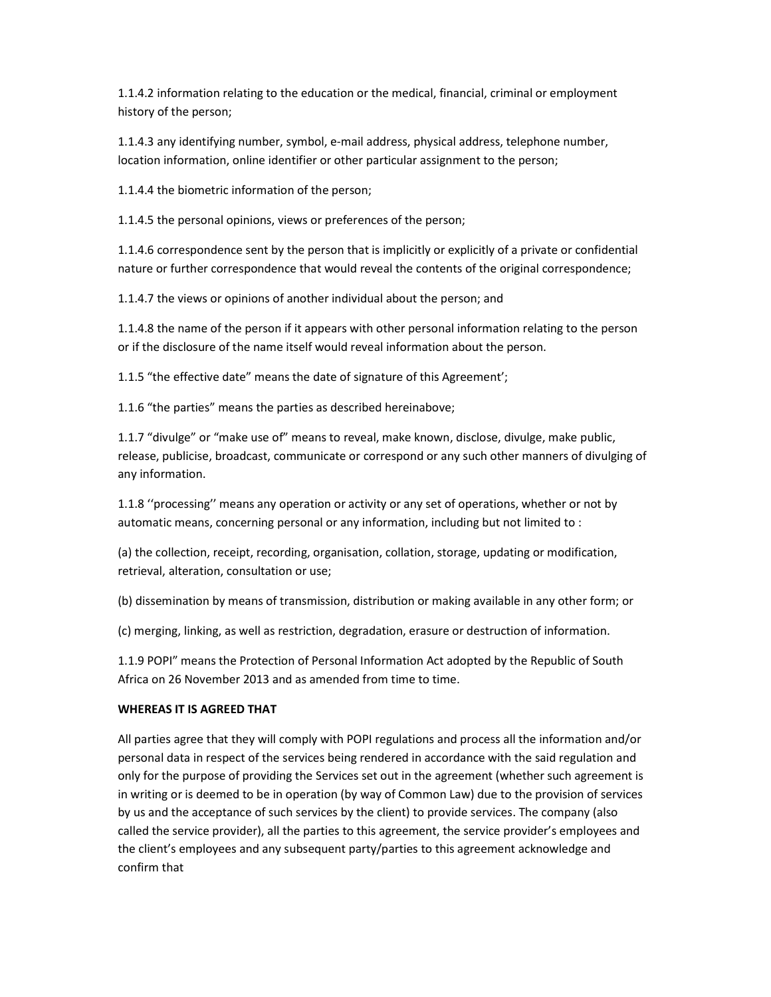1.1.4.2 information relating to the education or the medical, financial, criminal or employment history of the person;

1.1.4.3 any identifying number, symbol, e-mail address, physical address, telephone number, location information, online identifier or other particular assignment to the person;

1.1.4.4 the biometric information of the person;

1.1.4.5 the personal opinions, views or preferences of the person;

1.1.4.6 correspondence sent by the person that is implicitly or explicitly of a private or confidential nature or further correspondence that would reveal the contents of the original correspondence;

1.1.4.7 the views or opinions of another individual about the person; and

1.1.4.8 the name of the person if it appears with other personal information relating to the person or if the disclosure of the name itself would reveal information about the person.

1.1.5 "the effective date" means the date of signature of this Agreement';

1.1.6 "the parties" means the parties as described hereinabove;

1.1.7 "divulge" or "make use of" means to reveal, make known, disclose, divulge, make public, release, publicise, broadcast, communicate or correspond or any such other manners of divulging of any information.

1.1.8 ''processing'' means any operation or activity or any set of operations, whether or not by automatic means, concerning personal or any information, including but not limited to :

(a) the collection, receipt, recording, organisation, collation, storage, updating or modification, retrieval, alteration, consultation or use;

(b) dissemination by means of transmission, distribution or making available in any other form; or

(c) merging, linking, as well as restriction, degradation, erasure or destruction of information.

1.1.9 POPI" means the Protection of Personal Information Act adopted by the Republic of South Africa on 26 November 2013 and as amended from time to time.

# WHEREAS IT IS AGREED THAT

All parties agree that they will comply with POPI regulations and process all the information and/or personal data in respect of the services being rendered in accordance with the said regulation and only for the purpose of providing the Services set out in the agreement (whether such agreement is in writing or is deemed to be in operation (by way of Common Law) due to the provision of services by us and the acceptance of such services by the client) to provide services. The company (also called the service provider), all the parties to this agreement, the service provider's employees and the client's employees and any subsequent party/parties to this agreement acknowledge and confirm that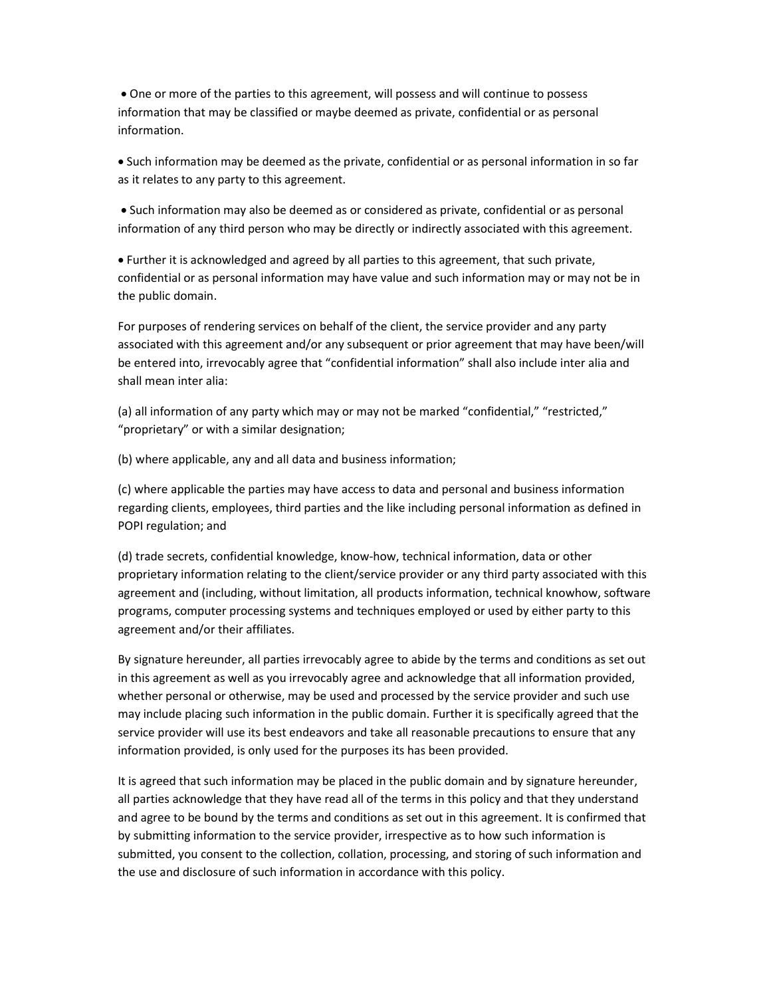One or more of the parties to this agreement, will possess and will continue to possess information that may be classified or maybe deemed as private, confidential or as personal information.

 Such information may be deemed as the private, confidential or as personal information in so far as it relates to any party to this agreement.

 Such information may also be deemed as or considered as private, confidential or as personal information of any third person who may be directly or indirectly associated with this agreement.

 Further it is acknowledged and agreed by all parties to this agreement, that such private, confidential or as personal information may have value and such information may or may not be in the public domain.

For purposes of rendering services on behalf of the client, the service provider and any party associated with this agreement and/or any subsequent or prior agreement that may have been/will be entered into, irrevocably agree that "confidential information" shall also include inter alia and shall mean inter alia:

(a) all information of any party which may or may not be marked "confidential," "restricted," "proprietary" or with a similar designation;

(b) where applicable, any and all data and business information;

(c) where applicable the parties may have access to data and personal and business information regarding clients, employees, third parties and the like including personal information as defined in POPI regulation; and

(d) trade secrets, confidential knowledge, know-how, technical information, data or other proprietary information relating to the client/service provider or any third party associated with this agreement and (including, without limitation, all products information, technical knowhow, software programs, computer processing systems and techniques employed or used by either party to this agreement and/or their affiliates.

By signature hereunder, all parties irrevocably agree to abide by the terms and conditions as set out in this agreement as well as you irrevocably agree and acknowledge that all information provided, whether personal or otherwise, may be used and processed by the service provider and such use may include placing such information in the public domain. Further it is specifically agreed that the service provider will use its best endeavors and take all reasonable precautions to ensure that any information provided, is only used for the purposes its has been provided.

It is agreed that such information may be placed in the public domain and by signature hereunder, all parties acknowledge that they have read all of the terms in this policy and that they understand and agree to be bound by the terms and conditions as set out in this agreement. It is confirmed that by submitting information to the service provider, irrespective as to how such information is submitted, you consent to the collection, collation, processing, and storing of such information and the use and disclosure of such information in accordance with this policy.